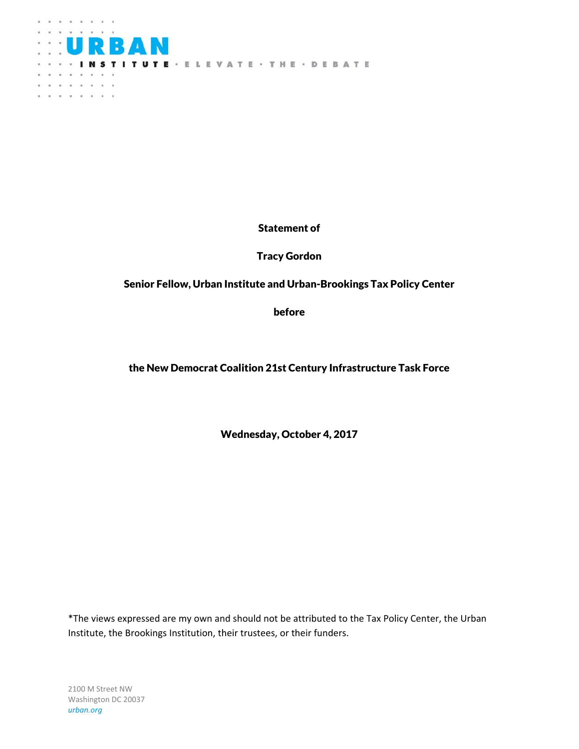

Statement of

Tracy Gordon

Senior Fellow, Urban Institute and Urban-Brookings Tax Policy Center

before

the New Democrat Coalition 21st Century Infrastructure Task Force

Wednesday, October 4, 2017

\*The views expressed are my own and should not be attributed to the Tax Policy Center, the Urban Institute, the Brookings Institution, their trustees, or their funders.

2100 M Street NW Washington DC 20037 *urban.org*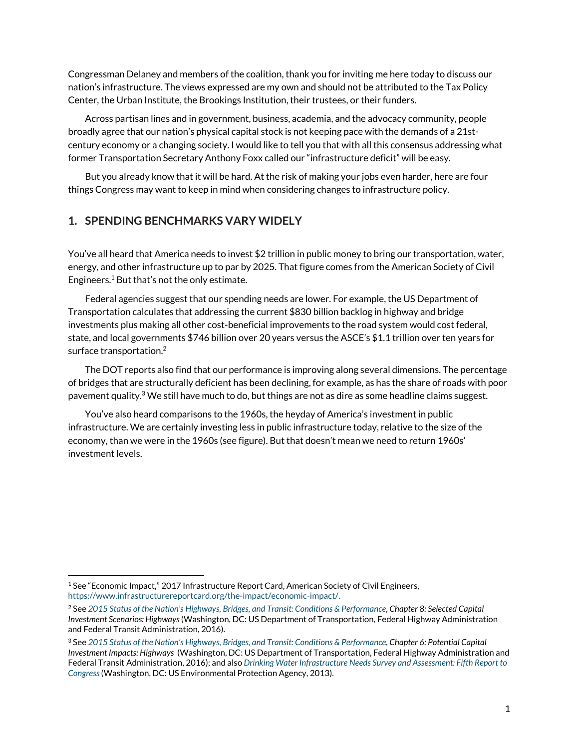Congressman Delaney and members of the coalition, thank you for inviting me here today to discuss our nation's infrastructure. The views expressed are my own and should not be attributed to the Tax Policy Center, the Urban Institute, the Brookings Institution, their trustees, or their funders.

Across partisan lines and in government, business, academia, and the advocacy community, people broadly agree that our nation's physical capital stock is not keeping pace with the demands of a 21stcentury economy or a changing society. I would like to tell you that with all this consensus addressing what former Transportation Secretary Anthony Foxx called our "infrastructure deficit" will be easy.

But you already know that it will be hard. At the risk of making your jobs even harder, here are four things Congress may want to keep in mind when considering changes to infrastructure policy.

### **1. SPENDING BENCHMARKS VARY WIDELY**

You've all heard that America needs to invest \$2 trillion in public money to bring our transportation, water, energy, and other infrastructure up to par by 2025. That figure comes from the American Society of Civil Engineers.1 But that's not the only estimate.

Federal agencies suggest that our spending needs are lower. For example, the US Department of Transportation calculates that addressing the current \$830 billion backlog in highway and bridge investments plus making all other cost-beneficial improvements to the road system would cost federal, state, and local governments \$746 billion over 20 years versus the ASCE's \$1.1 trillion over ten years for surface transportation.2

The DOT reports also find that our performance is improving along several dimensions. The percentage of bridges that are structurally deficient has been declining, for example, as has the share of roads with poor pavement quality.<sup>3</sup> We still have much to do, but things are not as dire as some headline claims suggest.

You've also heard comparisons to the 1960s, the heyday of America's investment in public infrastructure. We are certainly investing less in public infrastructure today, relative to the size of the economy, than we were in the 1960s (see figure). But that doesn't mean we need to return 1960s' investment levels.

<sup>&</sup>lt;sup>1</sup> See "Economic Impact," 2017 Infrastructure Report Card, American Society of Civil Engineers, https://www.infrastructurereportcard.org/the-impact/economic-impact/.

<sup>2</sup> See *2015 Status of the Nation's Highways, Bridges, and Transit: Conditions & Performance, Chapter 8: Selected Capital Investment Scenarios: Highways* (Washington, DC: US Department of Transportation, Federal Highway Administration and Federal Transit Administration, 2016).

<sup>3</sup> See *2015 Status of the Nation's Highways, Bridges, and Transit: Conditions & Performance, Chapter 6: Potential Capital Investment Impacts: Highways* (Washington, DC: US Department of Transportation, Federal Highway Administration and Federal Transit Administration, 2016); and also *Drinking Water Infrastructure Needs Survey and Assessment: Fifth Report to Congress*(Washington, DC: US Environmental Protection Agency, 2013).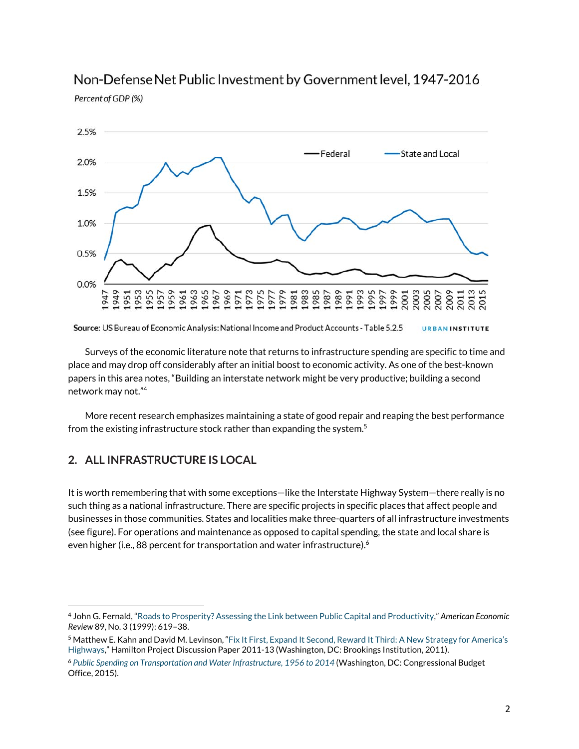

## Non-Defense Net Public Investment by Government level, 1947-2016

Percent of GDP (%)

Surveys of the economic literature note that returns to infrastructure spending are specific to time and place and may drop off considerably after an initial boost to economic activity. As one of the best-known papers in this area notes, "Building an interstate network might be very productive; building a second network may not."4

More recent research emphasizes maintaining a state of good repair and reaping the best performance from the existing infrastructure stock rather than expanding the system.<sup>5</sup>

## **2. ALL INFRASTRUCTURE IS LOCAL**

It is worth remembering that with some exceptions—like the Interstate Highway System—there really is no such thing as a national infrastructure. There are specific projects in specific places that affect people and businesses in those communities. States and localities make three-quarters of all infrastructure investments (see figure). For operations and maintenance as opposed to capital spending, the state and local share is even higher (i.e., 88 percent for transportation and water infrastructure).<sup>6</sup>

Source: US Bureau of Economic Analysis: National Income and Product Accounts - Table 5.2.5 **URBANINSTITUTE** 

 4 John G. Fernald, "Roads to Prosperity? Assessing the Link between Public Capital and Productivity," *American Economic Review* 89, No. 3 (1999): 619–38.

<sup>5</sup> Matthew E. Kahn and David M. Levinson, "Fix It First, Expand It Second, Reward It Third: A New Strategy for America's Highways," Hamilton Project Discussion Paper 2011-13 (Washington, DC: Brookings Institution, 2011).

<sup>6</sup> *Public Spending on Transportation and Water Infrastructure, 1956 to 2014* (Washington, DC: Congressional Budget Office, 2015).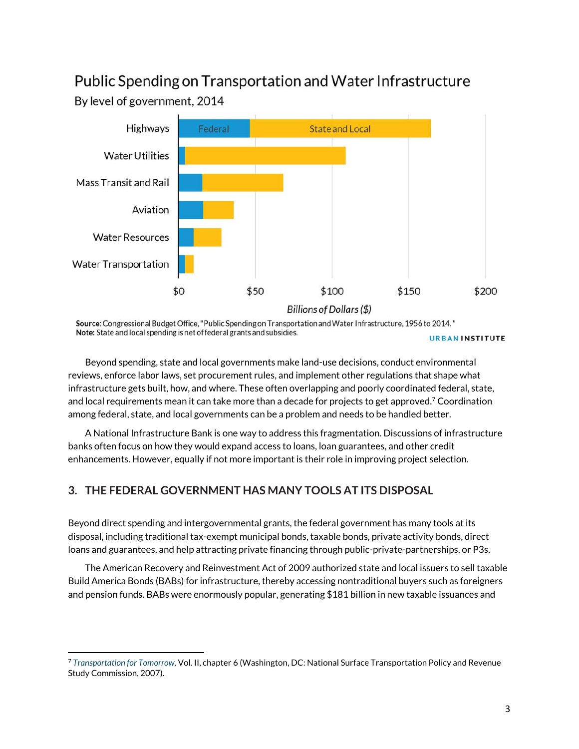# Public Spending on Transportation and Water Infrastructure

By level of government, 2014



Source: Congressional Budget Office, "Public Spending on Transportation and Water Infrastructure, 1956 to 2014." Note: State and local spending is net of federal grants and subsidies.

**URBANINSTITUTE** 

Beyond spending, state and local governments make land-use decisions, conduct environmental reviews, enforce labor laws, set procurement rules, and implement other regulations that shape what infrastructure gets built, how, and where. These often overlapping and poorly coordinated federal, state, and local requirements mean it can take more than a decade for projects to get approved.<sup>7</sup> Coordination among federal, state, and local governments can be a problem and needs to be handled better.

A National Infrastructure Bank is one way to address this fragmentation. Discussions of infrastructure banks often focus on how they would expand access to loans, loan guarantees, and other credit enhancements. However, equally if not more important is their role in improving project selection.

## **3. THE FEDERAL GOVERNMENT HAS MANY TOOLS AT ITS DISPOSAL**

Beyond direct spending and intergovernmental grants, the federal government has many tools at its disposal, including traditional tax-exempt municipal bonds, taxable bonds, private activity bonds, direct loans and guarantees, and help attracting private financing through public-private-partnerships, or P3s.

The American Recovery and Reinvestment Act of 2009 authorized state and local issuers to sell taxable Build America Bonds (BABs) for infrastructure, thereby accessing nontraditional buyers such as foreigners and pension funds. BABs were enormously popular, generating \$181 billion in new taxable issuances and

<sup>7</sup> *Transportation for Tomorrow,* Vol. II, chapter 6 (Washington, DC: National Surface Transportation Policy and Revenue Study Commission, 2007).